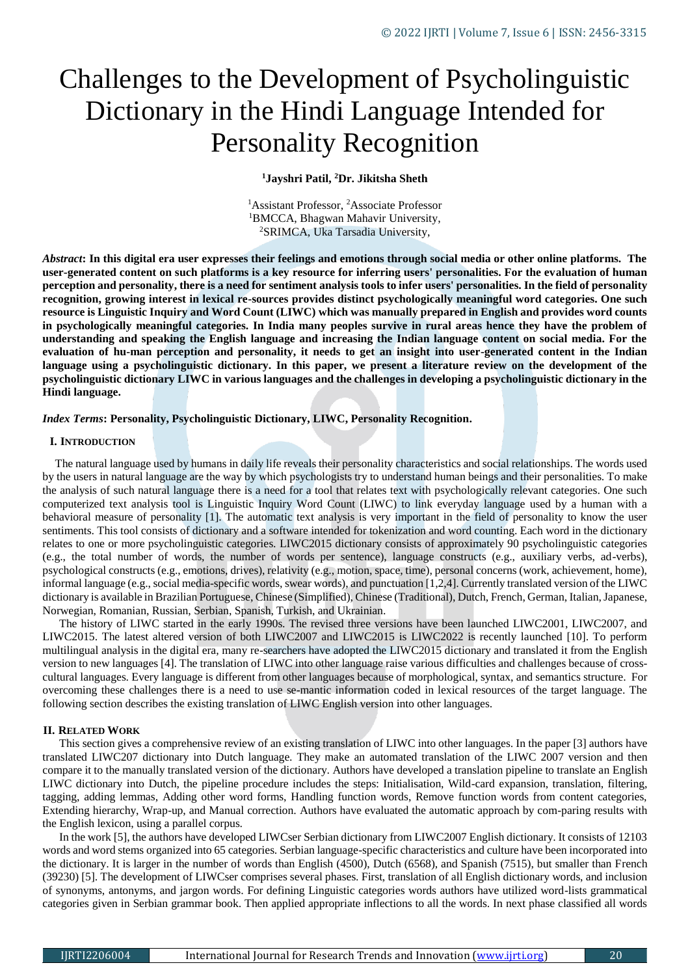# Challenges to the Development of Psycholinguistic Dictionary in the Hindi Language Intended for Personality Recognition

**<sup>1</sup>Jayshri Patil, <sup>2</sup>Dr. Jikitsha Sheth**

<sup>1</sup>Assistant Professor, <sup>2</sup>Associate Professor <sup>1</sup>BMCCA, Bhagwan Mahavir University, <sup>2</sup>SRIMCA, Uka Tarsadia University,

*Abstract***: In this digital era user expresses their feelings and emotions through social media or other online platforms. The user-generated content on such platforms is a key resource for inferring users' personalities. For the evaluation of human perception and personality, there is a need for sentiment analysis tools to infer users' personalities. In the field of personality recognition, growing interest in lexical re-sources provides distinct psychologically meaningful word categories. One such resource is Linguistic Inquiry and Word Count (LIWC) which was manually prepared in English and provides word counts in psychologically meaningful categories. In India many peoples survive in rural areas hence they have the problem of understanding and speaking the English language and increasing the Indian language content on social media. For the evaluation of hu-man perception and personality, it needs to get an insight into user-generated content in the Indian**  language using a psycholinguistic dictionary. In this paper, we present a literature review on the development of the **psycholinguistic dictionary LIWC in various languages and the challenges in developing a psycholinguistic dictionary in the Hindi language.**

*Index Terms***: Personality, Psycholinguistic Dictionary, LIWC, Personality Recognition.**

#### **I. INTRODUCTION**

The natural language used by humans in daily life reveals their personality characteristics and social relationships. The words used by the users in natural language are the way by which psychologists try to understand human beings and their personalities. To make the analysis of such natural language there is a need for a tool that relates text with psychologically relevant categories. One such computerized text analysis tool is Linguistic Inquiry Word Count (LIWC) to link everyday language used by a human with a behavioral measure of personality [1]. The automatic text analysis is very important in the field of personality to know the user sentiments. This tool consists of dictionary and a software intended for tokenization and word counting. Each word in the dictionary relates to one or more psycholinguistic categories. LIWC2015 dictionary consists of approximately 90 psycholinguistic categories (e.g., the total number of words, the number of words per sentence), language constructs (e.g., auxiliary verbs, ad-verbs), psychological constructs (e.g., emotions, drives), relativity (e.g., motion, space, time), personal concerns (work, achievement, home), informal language (e.g., social media-specific words, swear words), and punctuation [1,2,4]. Currently translated version of the LIWC dictionary is available in Brazilian Portuguese, Chinese (Simplified), Chinese (Traditional), Dutch, French, German, Italian, Japanese, Norwegian, Romanian, Russian, Serbian, Spanish, Turkish, and Ukrainian.

The history of LIWC started in the early 1990s. The revised three versions have been launched LIWC2001, LIWC2007, and LIWC2015. The latest altered version of both LIWC2007 and LIWC2015 is LIWC2022 is recently launched [10]. To perform multilingual analysis in the digital era, many re-searchers have adopted the LIWC2015 dictionary and translated it from the English version to new languages [4]. The translation of LIWC into other language raise various difficulties and challenges because of crosscultural languages. Every language is different from other languages because of morphological, syntax, and semantics structure. For overcoming these challenges there is a need to use se-mantic information coded in lexical resources of the target language. The following section describes the existing translation of LIWC English version into other languages.

## **II. RELATED WORK**

This section gives a comprehensive review of an existing translation of LIWC into other languages. In the paper [3] authors have translated LIWC207 dictionary into Dutch language. They make an automated translation of the LIWC 2007 version and then compare it to the manually translated version of the dictionary. Authors have developed a translation pipeline to translate an English LIWC dictionary into Dutch, the pipeline procedure includes the steps: Initialisation, Wild-card expansion, translation, filtering, tagging, adding lemmas, Adding other word forms, Handling function words, Remove function words from content categories, Extending hierarchy, Wrap-up, and Manual correction. Authors have evaluated the automatic approach by com-paring results with the English lexicon, using a parallel corpus.

In the work [5], the authors have developed LIWCser Serbian dictionary from LIWC2007 English dictionary. It consists of 12103 words and word stems organized into 65 categories. Serbian language-specific characteristics and culture have been incorporated into the dictionary. It is larger in the number of words than English (4500), Dutch (6568), and Spanish (7515), but smaller than French (39230) [5]. The development of LIWCser comprises several phases. First, translation of all English dictionary words, and inclusion of synonyms, antonyms, and jargon words. For defining Linguistic categories words authors have utilized word-lists grammatical categories given in Serbian grammar book. Then applied appropriate inflections to all the words. In next phase classified all words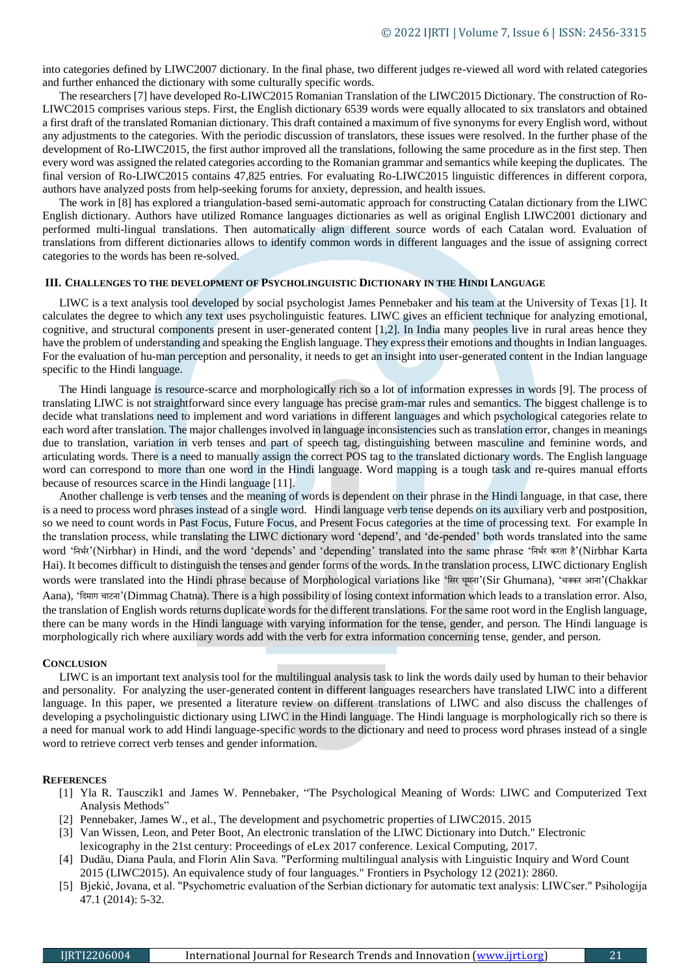into categories defined by LIWC2007 dictionary. In the final phase, two different judges re-viewed all word with related categories and further enhanced the dictionary with some culturally specific words.

The researchers [7] have developed Ro-LIWC2015 Romanian Translation of the LIWC2015 Dictionary. The construction of Ro-LIWC2015 comprises various steps. First, the English dictionary 6539 words were equally allocated to six translators and obtained a first draft of the translated Romanian dictionary. This draft contained a maximum of five synonyms for every English word, without any adjustments to the categories. With the periodic discussion of translators, these issues were resolved. In the further phase of the development of Ro-LIWC2015, the first author improved all the translations, following the same procedure as in the first step. Then every word was assigned the related categories according to the Romanian grammar and semantics while keeping the duplicates. The final version of Ro-LIWC2015 contains 47,825 entries. For evaluating Ro-LIWC2015 linguistic differences in different corpora, authors have analyzed posts from help-seeking forums for anxiety, depression, and health issues.

The work in [8] has explored a triangulation-based semi-automatic approach for constructing Catalan dictionary from the LIWC English dictionary. Authors have utilized Romance languages dictionaries as well as original English LIWC2001 dictionary and performed multi-lingual translations. Then automatically align different source words of each Catalan word. Evaluation of translations from different dictionaries allows to identify common words in different languages and the issue of assigning correct categories to the words has been re-solved.

## **III. CHALLENGES TO THE DEVELOPMENT OF PSYCHOLINGUISTIC DICTIONARY IN THE HINDI LANGUAGE**

LIWC is a text analysis tool developed by social psychologist James Pennebaker and his team at the University of Texas [1]. It calculates the degree to which any text uses psycholinguistic features. LIWC gives an efficient technique for analyzing emotional, cognitive, and structural components present in user-generated content [1,2]. In India many peoples live in rural areas hence they have the problem of understanding and speaking the English language. They express their emotions and thoughts in Indian languages. For the evaluation of hu-man perception and personality, it needs to get an insight into user-generated content in the Indian language specific to the Hindi language.

The Hindi language is resource-scarce and morphologically rich so a lot of information expresses in words [9]. The process of translating LIWC is not straightforward since every language has precise gram-mar rules and semantics. The biggest challenge is to decide what translations need to implement and word variations in different languages and which psychological categories relate to each word after translation. The major challenges involved in language inconsistencies such as translation error, changes in meanings due to translation, variation in verb tenses and part of speech tag, distinguishing between masculine and feminine words, and articulating words. There is a need to manually assign the correct POS tag to the translated dictionary words. The English language word can correspond to more than one word in the Hindi language. Word mapping is a tough task and re-quires manual efforts because of resources scarce in the Hindi language [11].

Another challenge is verb tenses and the meaning of words is dependent on their phrase in the Hindi language, in that case, there is a need to process word phrases instead of a single word. Hindi language verb tense depends on its auxiliary verb and postposition, so we need to count words in Past Focus, Future Focus, and Present Focus categories at the time of processing text. For example In the translation process, while translating the LIWC dictionary word 'depend', and 'de-pended' both words translated into the same word 'निर्भर'(Nirbhar) in Hindi, and the word 'depends' and 'depending' translated into the same phrase 'निर्भर करता है'(Nirbhar Karta Hai). It becomes difficult to distinguish the tenses and gender forms of the words. In the translation process, LIWC dictionary English words were translated into the Hindi phrase because of Morphological variations like 'सिर घूमना'(Sir Ghumana), 'चक्कर आना'(Chakkar Aana), 'निमाग चाटिा'(Dimmag Chatna). There is a high possibility of losing context information which leads to a translation error. Also, the translation of English words returns duplicate words for the different translations. For the same root word in the English language, there can be many words in the Hindi language with varying information for the tense, gender, and person. The Hindi language is morphologically rich where auxiliary words add with the verb for extra information concerning tense, gender, and person.

### **CONCLUSION**

LIWC is an important text analysis tool for the multilingual analysis task to link the words daily used by human to their behavior and personality. For analyzing the user-generated content in different languages researchers have translated LIWC into a different language. In this paper, we presented a literature review on different translations of LIWC and also discuss the challenges of developing a psycholinguistic dictionary using LIWC in the Hindi language. The Hindi language is morphologically rich so there is a need for manual work to add Hindi language-specific words to the dictionary and need to process word phrases instead of a single word to retrieve correct verb tenses and gender information.

#### **REFERENCES**

- [1] Yla R. Tausczik1 and James W. Pennebaker, "The Psychological Meaning of Words: LIWC and Computerized Text Analysis Methods"
- [2] Pennebaker, James W., et al., The development and psychometric properties of LIWC2015. 2015
- [3] Van Wissen, Leon, and Peter Boot, An electronic translation of the LIWC Dictionary into Dutch." Electronic lexicography in the 21st century: Proceedings of eLex 2017 conference. Lexical Computing, 2017.
- [4] Dudău, Diana Paula, and Florin Alin Sava. "Performing multilingual analysis with Linguistic Inquiry and Word Count 2015 (LIWC2015). An equivalence study of four languages." Frontiers in Psychology 12 (2021): 2860.
- 
- [5] Bjekić, Jovana, et al. "Psychometric evaluation of the Serbian dictionary for automatic text analysis: LIWCser." Psihologija 47.1 (2014): 5-32.